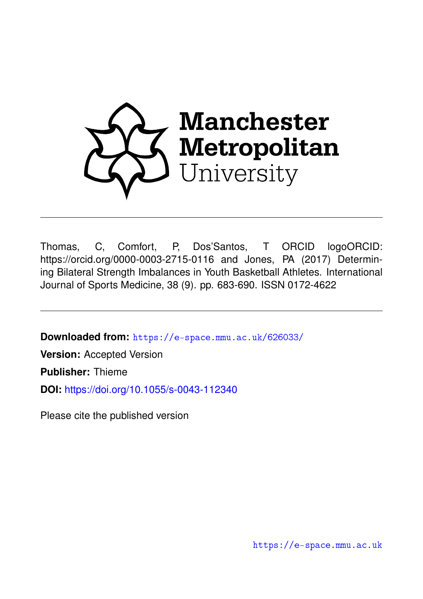

Thomas, C, Comfort, P, Dos'Santos, T ORCID logoORCID: https://orcid.org/0000-0003-2715-0116 and Jones, PA (2017) Determining Bilateral Strength Imbalances in Youth Basketball Athletes. International Journal of Sports Medicine, 38 (9). pp. 683-690. ISSN 0172-4622

**Downloaded from:** <https://e-space.mmu.ac.uk/626033/>

**Version:** Accepted Version

**Publisher:** Thieme

**DOI:** <https://doi.org/10.1055/s-0043-112340>

Please cite the published version

<https://e-space.mmu.ac.uk>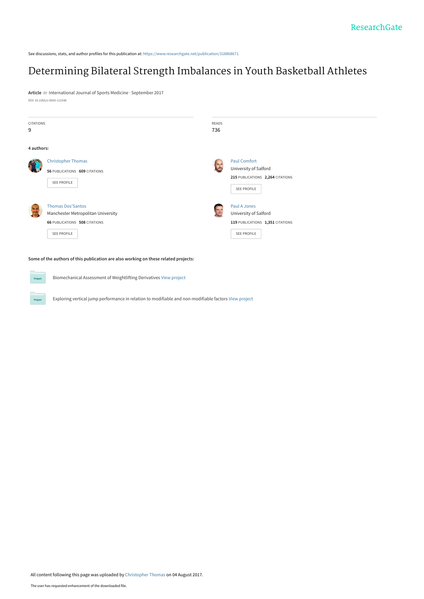See discussions, stats, and author profiles for this publication at: [https://www.researchgate.net/publication/318868671](https://www.researchgate.net/publication/318868671_Determining_Bilateral_Strength_Imbalances_in_Youth_Basketball_Athletes?enrichId=rgreq-8251a3438de48404d97d470ed4a155e0-XXX&enrichSource=Y292ZXJQYWdlOzMxODg2ODY3MTtBUzo1MjM1MjY2OTY1ODcyNjRAMTUwMTgyOTg5OTQ5NQ%3D%3D&el=1_x_2&_esc=publicationCoverPdf)

# [Determining Bilateral Strength Imbalances in Youth Basketball Athletes](https://www.researchgate.net/publication/318868671_Determining_Bilateral_Strength_Imbalances_in_Youth_Basketball_Athletes?enrichId=rgreq-8251a3438de48404d97d470ed4a155e0-XXX&enrichSource=Y292ZXJQYWdlOzMxODg2ODY3MTtBUzo1MjM1MjY2OTY1ODcyNjRAMTUwMTgyOTg5OTQ5NQ%3D%3D&el=1_x_3&_esc=publicationCoverPdf)

**Article** in International Journal of Sports Medicine · September 2017 DOI: 10.1055/s-0043-112340

| <b>CITATIONS</b><br>9 |                                                                                                                              | <b>READS</b><br>736 |                                                                                                        |
|-----------------------|------------------------------------------------------------------------------------------------------------------------------|---------------------|--------------------------------------------------------------------------------------------------------|
| 4 authors:            |                                                                                                                              |                     |                                                                                                        |
| <b>AND READ</b>       | <b>Christopher Thomas</b><br>56 PUBLICATIONS 609 CITATIONS<br><b>SEE PROFILE</b>                                             |                     | <b>Paul Comfort</b><br>University of Salford<br>215 PUBLICATIONS 2,264 CITATIONS<br><b>SEE PROFILE</b> |
|                       | <b>Thomas Dos'Santos</b><br>Manchester Metropolitan University<br><b>66 PUBLICATIONS 508 CITATIONS</b><br><b>SEE PROFILE</b> |                     | Paul A Jones<br>University of Salford<br>119 PUBLICATIONS 1,351 CITATIONS<br>SEE PROFILE               |
|                       | Some of the authors of this publication are also working on these related projects:                                          |                     |                                                                                                        |
| Project               | Biomechanical Assessment of Weightlifting Derivatives View project                                                           |                     |                                                                                                        |

Exploring vertical jump performance in relation to modifiable and non-modifiable factors [View project](https://www.researchgate.net/project/Exploring-vertical-jump-performance-in-relation-to-modifiable-and-non-modifiable-factors?enrichId=rgreq-8251a3438de48404d97d470ed4a155e0-XXX&enrichSource=Y292ZXJQYWdlOzMxODg2ODY3MTtBUzo1MjM1MjY2OTY1ODcyNjRAMTUwMTgyOTg5OTQ5NQ%3D%3D&el=1_x_9&_esc=publicationCoverPdf)

Project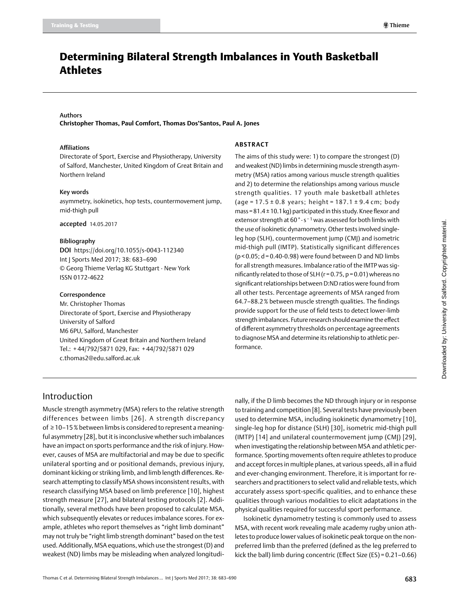# Determining Bilateral Strength Imbalances in Youth Basketball Athletes

#### Authors

**Christopher Thomas, Paul Comfort, Thomas Dos'Santos, Paul A. Jones**

#### Affiliations

Directorate of Sport, Exercise and Physiotherapy, University of Salford, Manchester, United Kingdom of Great Britain and Northern Ireland

#### Key words

asymmetry, isokinetics, hop tests, countermovement jump, mid-thigh pull

#### accepted 14.05.2017

#### Bibliography

DOI https://doi.org/10.1055/s-0043-112340 Int J Sports Med 2017; 38: 683–690 © Georg Thieme Verlag KG Stuttgart · New York ISSN 0172-4622

#### Correspondence

Mr. Christopher Thomas Directorate of Sport, Exercise and Physiotherapy University of Salford M6 6PU, Salford, Manchester United Kingdom of Great Britain and Northern Ireland Tel.: + 44/792/5871 029, Fax: + 44/792/5871 029 [c.thomas2@edu.salford.ac.uk](mailto:c.thomas2@edu.salford.ac.uk)

#### **Abstract**

The aims of this study were: 1) to compare the strongest (D) and weakest (ND) limbs in determining muscle strength asymmetry (MSA) ratios among various muscle strength qualities and 2) to determine the relationships among various muscle strength qualities. 17 youth male basketball athletes (age =  $17.5 \pm 0.8$  years; height =  $187.1 \pm 9.4$  cm; body mass=81.4±10.1kg) participated in this study. Knee flexor and extensor strength at 60° · s<sup>-1</sup> was assessed for both limbs with the use of isokinetic dynamometry. Other tests involved singleleg hop (SLH), countermovement jump (CMJ) and isometric mid-thigh pull (IMTP). Statistically significant differences  $(p < 0.05; d = 0.40 - 0.98)$  were found between D and ND limbs for all strength measures. Imbalance ratio of the IMTP was significantly related to those of SLH (r=0.75, p=0.01) whereas no significant relationships between D:ND ratios were found from all other tests. Percentage agreements of MSA ranged from 64.7–88.2% between muscle strength qualities. The findings provide support for the use of field tests to detect lower-limb strength imbalances. Future research should examine the effect of different asymmetry thresholds on percentage agreements to diagnose MSA and determine its relationship to athletic performance.

# Introduction

Muscle strength asymmetry (MSA) refers to the relative strength differences between limbs [26]. A strength discrepancy of ≥10–15% between limbs is considered to represent a meaningful asymmetry [28], but it is inconclusive whether such imbalances have an impact on sports performance and the risk of injury. However, causes of MSA are multifactorial and may be due to specific unilateral sporting and or positional demands, previous injury, dominant kicking or striking limb, and limb length differences. Research attempting to classify MSA shows inconsistent results, with research classifying MSA based on limb preference [10], highest strength measure [27], and bilateral testing protocols [2]. Additionally, several methods have been proposed to calculate MSA, which subsequently elevates or reduces imbalance scores. For example, athletes who report themselves as "right limb dominant" may not truly be "right limb strength dominant" based on the test used. Additionally, MSA equations, which use the strongest (D) and weakest (ND) limbs may be misleading when analyzed longitudinally, if the D limb becomes the ND through injury or in response to training and competition [8]. Several tests have previously been used to determine MSA, including isokinetic dynamometry [10], single-leg hop for distance (SLH) [30], isometric mid-thigh pull (IMTP) [14] and unilateral countermovement jump (CMJ) [29], when investigating the relationship between MSA and athletic performance. Sporting movements often require athletes to produce and accept forces in multiple planes, at various speeds, all in a fluid and ever-changing environment. Therefore, it is important for researchers and practitioners to select valid and reliable tests, which accurately assess sport-specific qualities, and to enhance these qualities through various modalities to elicit adaptations in the physical qualities required for successful sport performance.

Isokinetic dynamometry testing is commonly used to assess MSA, with recent work revealing male academy rugby union athletes to produce lower values of isokinetic peak torque on the nonpreferred limb than the preferred (defined as the leg preferred to kick the ball) limb during concentric (Effect Size (ES) = 0.21–0.66)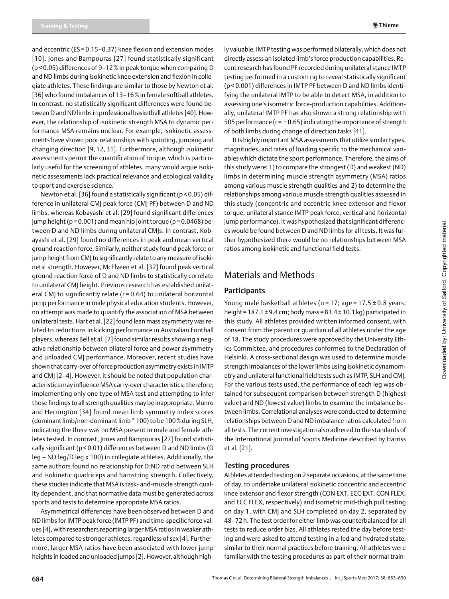and eccentric (ES = 0.15–0.37) knee flexion and extension modes [10]. Jones and Bampouras [27] found statistically significant (p < 0.05) differences of 9–12% in peak torque when comparing D and ND limbs during isokinetic knee extension and flexion in collegiate athletes. These findings are similar to those by Newton et al. [36] who found imbalances of 13-16% in female softball athletes. In contrast, no statistically significant differences were found between D and ND limbs in professional basketball athletes [40]. However, the relationship of isokinetic strength MSA to dynamic performance MSA remains unclear. For example, isokinetic assessments have shown poor relationships with sprinting, jumping and changing direction [9, 12, 31]. Furthermore, although isokinetic assessments permit the quantification of torque, which is particularly useful for the screening of athletes, many would argue isokinetic assessments lack practical relevance and ecological validity to sport and exercise science.

Newton et al. [36] found a statistically significant (p < 0.05) difference in unilateral CMJ peak force (CMJ PF) between D and ND limbs, whereas Kobayashi et al. [29] found significant differences jump height ( $p = 0.001$ ) and mean hip joint torque ( $p = 0.0468$ ) between D and ND limbs during unilateral CMJs. In contrast, Kobayashi et al. [29] found no differences in peak and mean vertical ground reaction force. Similarly, neither study found peak force or jump height from CMJ to significantly relate to any measure of isokinetic strength. However, McElveen et al. [32] found peak vertical ground reaction force of D and ND limbs to statistically correlate to unilateral CMJ height. Previous research has established unilateral CMJ to significantly relate (r = 0.64) to unilateral horizontal jump performance in male physical education students. However, no attempt was made to quantify the association of MSA between unilateral tests. Hart et al. [22] found lean mass asymmetry was related to reductions in kicking performance in Australian Football players, whereas Bell et al. [7] found similar results showing a negative relationship between bilateral force and power asymmetry and unloaded CMJ performance. Moreover, recent studies have shown that carry-over of force production asymmetry exists in IMTP and CMJ [2–4]. However, it should be noted that population characteristics may influence MSA carry-over characteristics; therefore; implementing only one type of MSA test and attempting to infer those findings to all strength qualities may be inappropriate. Munro and Herrington [34] found mean limb symmetry index scores (dominant limb/non-dominant limb\*100) to be 100% during SLH, indicating the there was no MSA present in male and female athletes tested. In contrast, Jones and Bampouras [27] found statistically significant (p < 0.01) differences between D and ND limbs (D leg – ND leg/D leg x 100) in collegiate athletes. Additionally, the same authors found no relationship for D:ND ratio between SLH and isokinetic quadriceps and hamstring strength. Collectively, these studies indicate that MSA is task- and-muscle strength quality dependent, and that normative data must be generated across sports and tests to determine appropriate MSA ratios.

Asymmetrical differences have been observed between D and ND limbs for IMTP peak force (IMTP PF) and time-specific force values [4], with researchers reporting larger MSA ratios in weaker athletes compared to stronger athletes, regardless of sex [4]. Furthermore, larger MSA ratios have been associated with lower jump heights in loaded and unloaded jumps [2]. However, although highly valuable, IMTP testing was performed bilaterally, which does not directly assess an isolated limb's force production capabilities. Recent research has found PF recorded during unilateral stance IMTP testing performed in a custom rig to reveal statistically significant (p < 0.001) differences in IMTP PF between D and ND limbs identifying the unilateral IMTP to be able to detect MSA, in addition to assessing one's isometric force-production capabilities. Additionally, unilateral IMTP PF has also shown a strong relationship with 505 performance (r=  −0.65) indicating the importance of strength of both limbs during change of direction tasks [41].

It is highly important MSA assessments that utilize similar types, magnitudes, and rates of loading specific to the mechanical variables which dictate the sport performance. Therefore, the aims of this study were: 1) to compare the strongest (D) and weakest (ND) limbs in determining muscle strength asymmetry (MSA) ratios among various muscle strength qualities and 2) to determine the relationships among various muscle strength qualities assessed in this study (concentric and eccentric knee extensor and flexor torque, unilateral stance IMTP peak force, vertical and horizontal jump performance). It was hypothesized that significant differences would be found between D and ND limbs for all tests. It was further hypothesized there would be no relationships between MSA ratios among isokinetic and functional field tests.

# Materials and Methods

## **Participants**

Young male basketball athletes ( $n = 17$ ; age =  $17.5 \pm 0.8$  years; height = 187.1  $\pm$  9.4 cm; body mass = 81.4  $\pm$  10.1 kg) participated in this study. All athletes provided written informed consent, with consent from the parent or guardian of all athletes under the age of 18. The study procedures were approved by the University Ethics Committee, and procedures conformed to the Declaration of Helsinki. A cross-sectional design was used to determine muscle strength imbalances of the lower limbs using isokinetic dynamometry and unilateral functional field tests such as IMTP, SLH and CMJ. For the various tests used, the performance of each leg was obtained for subsequent comparison between strength D (highest value) and ND (lowest value) limbs to examine the imbalance between limbs. Correlational analyses were conducted to determine relationships between D and ND imbalance ratios calculated from all tests. The current investigation also adhered to the standards of the International Journal of Sports Medicine described by Harriss et al. [21].

## Testing procedures

Athletes attended testing on 2 separate occasions, at the same time of day, to undertake unilateral isokinetic concentric and eccentric knee extensor and flexor strength (CON EXT, ECC EXT, CON FLEX, and ECC FLEX, respectively) and isometric mid-thigh pull testing on day 1, with CMJ and SLH completed on day 2, separated by 48–72 h. The test order for either limb was counterbalanced for all tests to reduce order bias. All athletes rested the day before testing and were asked to attend testing in a fed and hydrated state, similar to their normal practices before training. All athletes were familiar with the testing procedures as part of their normal train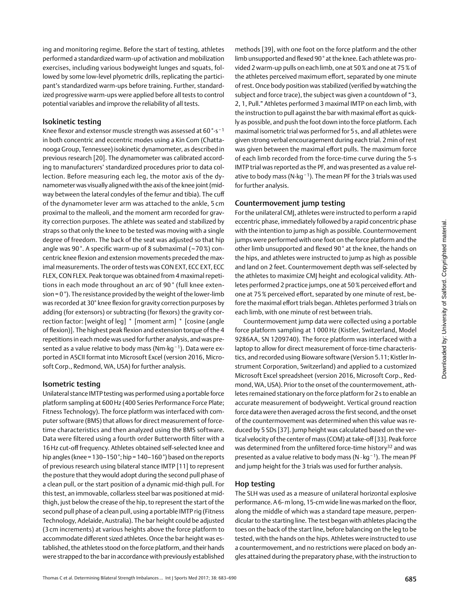ing and monitoring regime. Before the start of testing, athletes performed a standardized warm-up of activation and mobilization exercises, including various bodyweight lunges and squats, followed by some low-level plyometric drills, replicating the participant's standardized warm-ups before training. Further, standardized progressive warm-ups were applied before all tests to control potential variables and improve the reliability of all tests.

#### Isokinetic testing

Knee flexor and extensor muscle strength was assessed at 60 °∙s <sup>−</sup> <sup>1</sup> in both concentric and eccentric modes using a Kin Com (Chattanooga Group, Tennessee) isokinetic dynamometer, as described in previous research [20]. The dynamometer was calibrated according to manufacturers' standardized procedures prior to data collection. Before measuring each leg, the motor axis of the dynamometer was visually aligned with the axis of the knee joint (midway between the lateral condyles of the femur and tibia). The cuff of the dynamometer lever arm was attached to the ankle, 5 cm proximal to the malleoli, and the moment arm recorded for gravity correction purposes. The athlete was seated and stabilized by straps so that only the knee to be tested was moving with a single degree of freedom. The back of the seat was adjusted so that hip angle was 90°. A specific warm-up of 8 submaximal (~70%) concentric knee flexion and extension movements preceded the maximal measurements. The order of tests was CON EXT, ECC EXT, ECC FLEX, CON FLEX. Peak torque was obtained from 4 maximal repetitions in each mode throughout an arc of 90 ° (full knee extension =  $0^{\circ}$ ). The resistance provided by the weight of the lower-limb was recorded at 30° knee flexion for gravity correction purposes by adding (for extensors) or subtracting (for flexors) the gravity correction factor: [weight of leg] \* [moment arm] \* [cosine (angle of flexion)]. The highest peak flexion and extension torque of the 4 repetitions in each mode was used for further analysis, and was presented as a value relative to body mass (Nm⋅kg<sup>-1</sup>). Data were exported in ASCII format into Microsoft Excel (version 2016, Microsoft Corp., Redmond, WA, USA) for further analysis.

## Isometric testing

Unilateral stance IMTP testing was performed using a portable force platform sampling at 600Hz (400 Series Performance Force Plate; Fitness Technology). The force platform was interfaced with computer software (BMS) that allows for direct measurement of forcetime characteristics and then analyzed using the BMS software. Data were filtered using a fourth order Butterworth filter with a 16Hz cut-off frequency. Athletes obtained self-selected knee and hip angles (knee = 130–150°; hip = 140–160°) based on the reports of previous research using bilateral stance IMTP [11] to represent the posture that they would adopt during the second pull phase of a clean pull, or the start position of a dynamic mid-thigh pull. For this test, an immovable, collarless steel bar was positioned at midthigh, just below the crease of the hip, to represent the start of the second pull phase of a clean pull, using a portable IMTP rig (Fitness Technology, Adelaide, Australia). The bar height could be adjusted (3 cm increments) at various heights above the force platform to accommodate different sized athletes. Once the bar height was established, the athletes stood on the force platform, and their hands were strapped to the bar in accordance with previously established

methods [39], with one foot on the force platform and the other limb unsupported and flexed 90° at the knee. Each athlete was provided 2 warm-up pulls on each limb, one at 50% and one at 75% of the athletes perceived maximum effort, separated by one minute of rest. Once body position was stabilized (verified by watching the subject and force trace), the subject was given a countdown of "3, 2, 1, Pull." Athletes performed 3 maximal IMTP on each limb, with the instruction to pull against the bar with maximal effort as quickly as possible, and push the foot down into the force platform. Each maximal isometric trial was performed for 5 s, and all athletes were given strong verbal encouragement during each trial. 2min of rest was given between the maximal effort pulls. The maximum force of each limb recorded from the force-time curve during the 5-s IMTP trial was reported as the PF, and was presented as a value relative to body mass (N∙kg− <sup>1</sup>). The mean PF for the 3 trials was used for further analysis.

#### Countermovement jump testing

For the unilateral CMJ, athletes were instructed to perform a rapid eccentric phase, immediately followed by a rapid concentric phase with the intention to jump as high as possible. Countermovement jumps were performed with one foot on the force platform and the other limb unsupported and flexed 90 ° at the knee, the hands on the hips, and athletes were instructed to jump as high as possible and land on 2 feet. Countermovement depth was self-selected by the athletes to maximize CMJ height and ecological validity. Athletes performed 2 practice jumps, one at 50% perceived effort and one at 75% perceived effort, separated by one minute of rest, before the maximal effort trials began. Athletes performed 3 trials on each limb, with one minute of rest between trials.

Countermovement jump data were collected using a portable force platform sampling at 1 000Hz (Kistler, Switzerland, Model 9286AA, SN 1209740). The force platform was interfaced with a laptop to allow for direct measurement of force-time characteristics, and recorded using Bioware software (Version 5.11; Kistler Instrument Corporation, Switzerland) and applied to a customized Microsoft Excel spreadsheet (version 2016, Microsoft Corp., Redmond, WA, USA). Prior to the onset of the countermovement, athletes remained stationary on the force platform for 2 s to enable an accurate measurement of bodyweight. Vertical ground reaction force data were then averaged across the first second, and the onset of the countermovement was determined when this value was reduced by 5 SDs [37]. Jump height was calculated based on the vertical velocity of the center of mass (COM) at take-off [33]. Peak force was determined from the unfiltered force-time history<sup>32</sup> and was presented as a value relative to body mass (N· kg<sup>−</sup> <sup>1</sup>). The mean PF and jump height for the 3 trials was used for further analysis.

## Hop testing

The SLH was used as a measure of unilateral horizontal explosive performance. A 6-m long, 15-cm wide line was marked on the floor, along the middle of which was a standard tape measure, perpendicular to the starting line. The test began with athletes placing the toes on the back of the start line, before balancing on the leg to be tested, with the hands on the hips. Athletes were instructed to use a countermovement, and no restrictions were placed on body angles attained during the preparatory phase, with the instruction to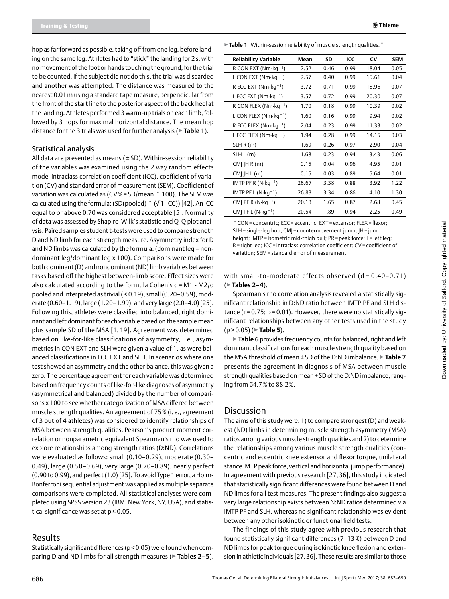hop as far forward as possible, taking off from one leg, before landing on the same leg. Athletes had to "stick" the landing for 2 s, with no movement of the foot or hands touching the ground, for the trial to be counted. If the subject did not do this, the trial was discarded and another was attempted. The distance was measured to the nearest 0.01m using a standard tape measure, perpendicular from the front of the start line to the posterior aspect of the back heel at the landing. Athletes performed 3 warm-up trials on each limb, followed by 3 hops for maximal horizontal distance. The mean hop distance for the 3 trials was used for further analysis (▶**Table 1**).

#### Statistical analysis

All data are presented as means ( ± SD). Within-session reliability of the variables was examined using the 2 way random effects model intraclass correlation coefficient (ICC), coefficient of variation (CV) and standard error of measurement (SEM). Coefficient of variation was calculated as (CV%= SD/mean \* 100). The SEM was calculated using the formula: (SD(pooled) \* (√1-ICC)) [42]. An ICC equal to or above 0.70 was considered acceptable [5]. Normality of data was assessed by Shapiro-Wilk's statistic and Q-Q plot analysis. Paired samples student t-tests were used to compare strength D and ND limb for each strength measure. Asymmetry index for D and ND limbs was calculated by the formula: (dominant leg – nondominant leg/dominant leg x 100). Comparisons were made for both dominant (D) and nondominant (ND) limb variables between tasks based off the highest between-limb score. Effect sizes were also calculated according to the formula Cohen's d = M1 - M2/σ pooled and interpreted as trivial ( < 0.19), small (0.20–0.59), moderate (0.60–1.19), large (1.20–1.99), and very large (2.0–4.0) [25]. Following this, athletes were classified into balanced, right dominant and left dominant for each variable based on the sample mean plus sample SD of the MSA [1, 19]. Agreement was determined based on like-for-like classifications of asymmetry, i. e., asymmetries in CON EXT and SLH were given a value of 1, as were balanced classifications in ECC EXT and SLH. In scenarios where one test showed an asymmetry and the other balance, this was given a zero. The percentage agreement for each variable was determined based on frequency counts of like-for-like diagnoses of asymmetry (asymmetrical and balanced) divided by the number of comparisons x 100 to see whether categorization of MSA differed between muscle strength qualities. An agreement of 75% (i. e., agreement of 3 out of 4 athletes) was considered to identify relationships of MSA between strength qualities. Pearson's product moment correlation or nonparametric equivalent Spearman's rho was used to explore relationships among strength ratios (D:ND). Correlations were evaluated as follows: small (0.10–0.29), moderate (0.30– 0.49), large (0.50–0.69), very large (0.70–0.89), nearly perfect (0.90 to 0.99), and perfect (1.0) [25]. To avoid Type 1 error, a Holm-Bonferroni sequential adjustment was applied as multiple separate comparisons were completed. All statistical analyses were completed using SPSS version 23 (IBM, New York, NY, USA), and statistical significance was set at  $p \le 0.05$ .

## Results

Statistically significant differences (p<0.05) were found when comparing D and ND limbs for all strength measures (▶**Tables 2– 5**),

▶ Table 1 Within-session reliability of muscle strength qualities. <sup>\*</sup>

| <b>Reliability Variable</b>                                                                                                                                                                                                                                                                                                                      | Mean  | <b>SD</b> | ICC  | $\mathsf{C}\mathsf{V}$ | <b>SEM</b> |  |
|--------------------------------------------------------------------------------------------------------------------------------------------------------------------------------------------------------------------------------------------------------------------------------------------------------------------------------------------------|-------|-----------|------|------------------------|------------|--|
| R CON EXT ( $Nm$ · $kq^{-1}$ )                                                                                                                                                                                                                                                                                                                   | 2.52  | 0.46      | 0.99 | 18.04                  | 0.05       |  |
| L CON EXT (Nm $\cdot$ kg <sup>-1</sup> )                                                                                                                                                                                                                                                                                                         | 2.57  | 0.40      | 0.99 | 15.61                  | 0.04       |  |
| R ECC EXT (Nm $\cdot$ kg <sup>-1</sup> )                                                                                                                                                                                                                                                                                                         | 3.72  | 0.71      | 0.99 | 18.96                  | 0.07       |  |
| L ECC EXT (Nm $\cdot$ kg <sup>-1</sup> )                                                                                                                                                                                                                                                                                                         | 3.57  | 0.72      | 0.99 | 20.30                  | 0.07       |  |
| R CON FLEX (Nm $\cdot$ kg <sup>-1</sup> )                                                                                                                                                                                                                                                                                                        | 1.70  | 0.18      | 0.99 | 10.39                  | 0.02       |  |
| L CON FLEX (Nm $\cdot$ kg <sup>-1</sup> )                                                                                                                                                                                                                                                                                                        | 1.60  | 0.16      | 0.99 | 9.94                   | 0.02       |  |
| R ECC FLEX (Nm-kg <sup>-1</sup> )                                                                                                                                                                                                                                                                                                                | 2.04  | 0.23      | 0.99 | 11.33                  | 0.02       |  |
| L ECC FLEX (Nm·kg <sup>-1</sup> )                                                                                                                                                                                                                                                                                                                | 1.94  | 0.28      | 0.99 | 14.15                  | 0.03       |  |
| SLH R(m)                                                                                                                                                                                                                                                                                                                                         | 1.69  | 0.26      | 0.97 | 2.90                   | 0.04       |  |
| SLH L(m)                                                                                                                                                                                                                                                                                                                                         | 1.68  | 0.23      | 0.94 | 3.43                   | 0.06       |  |
| $CMI$ IH R $(m)$                                                                                                                                                                                                                                                                                                                                 | 0.15  | 0.04      | 0.96 | 4.95                   | 0.01       |  |
| $CMI$  H L (m)                                                                                                                                                                                                                                                                                                                                   | 0.15  | 0.03      | 0.89 | 5.64                   | 0.01       |  |
| IMTP PF R $(N \cdot kq^{-1})$                                                                                                                                                                                                                                                                                                                    | 26.67 | 3.38      | 0.88 | 3.92                   | 1.22       |  |
| IMTP PF L $(N \cdot kq^{-1})$                                                                                                                                                                                                                                                                                                                    | 26.83 | 3.34      | 0.86 | 4.10                   | 1.30       |  |
| CMJ PF R $(N \cdot kq^{-1})$                                                                                                                                                                                                                                                                                                                     | 20.13 | 1.65      | 0.87 | 2.68                   | 0.45       |  |
| CM  PF L $(N \cdot kq^{-1})$                                                                                                                                                                                                                                                                                                                     | 20.54 | 1.89      | 0.94 | 2.25                   | 0.49       |  |
| * CON = concentric; ECC = eccentric; EXT = extensor; FLEX = flexor;<br>SLH = single-leg hop; CMJ = countermovement jump; JH = jump<br>height; IMTP = isometric mid-thigh pull; PR = peak force; L = left leg;<br>R = right leg; ICC = intraclass correlation coefficient; CV = coefficient of<br>variation; SEM = standard error of measurement. |       |           |      |                        |            |  |

with small-to-moderate effects observed (d = 0.40-0.71) (▶**Tables 2– 4**).

Spearman's rho correlation analysis revealed a statistically significant relationship in D:ND ratio between IMTP PF and SLH distance ( $r = 0.75$ ;  $p = 0.01$ ). However, there were no statistically significant relationships between any other tests used in the study (p > 0.05) (▶**Table 5**).

▶**Table 6** provides frequency counts for balanced, right and left dominant classifications for each muscle strength quality based on the MSA threshold of mean ± SD of the D:ND imbalance. ▶**Table 7** presents the agreement in diagnosis of MSA between muscle strength qualities based on mean+SD of the D:ND imbalance, ranging from 64.7% to 88.2%.

# **Discussion**

The aims of this study were: 1) to compare strongest (D) and weakest (ND) limbs in determining muscle strength asymmetry (MSA) ratios among various muscle strength qualities and 2) to determine the relationships among various muscle strength qualities (concentric and eccentric knee extensor and flexor torque, unilateral stance IMTP peak force, vertical and horizontal jump performance). In agreement with previous research [27, 36], this study indicated that statistically significant differences were found between D and ND limbs for all test measures. The present findings also suggest a very large relationship exists between N:ND ratios determined via IMTP PF and SLH, whereas no significant relationship was evident between any other isokinetic or functional field tests.

The findings of this study agree with previous research that found statistically significant differences (7–13%) between D and ND limbs for peak torque during isokinetic knee flexion and extension in athletic individuals [27,36]. These results are similar to those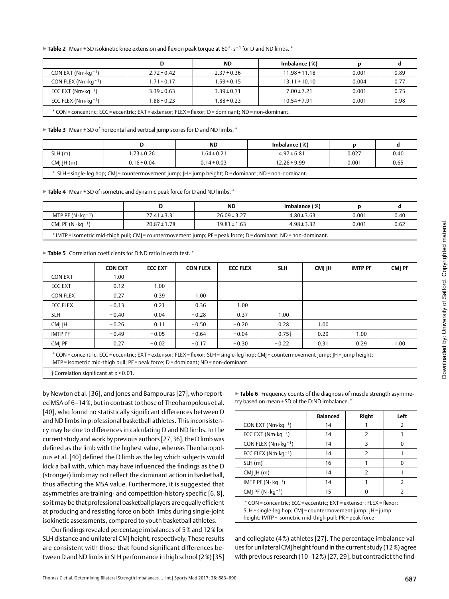▶**Table 2** Mean±SD isokinetic knee extension and flexion peak torque at 60°· s−1 for D and ND limbs.\*

|                                                                                                      | D               | <b>ND</b>       | Imbalance (%)     |       |      |  |  |
|------------------------------------------------------------------------------------------------------|-----------------|-----------------|-------------------|-------|------|--|--|
| CON EXT ( $Nm$ · $kq^{-1}$ )                                                                         | $2.72 \pm 0.42$ | $2.37 \pm 0.36$ | $11.98 \pm 11.18$ | 0.001 | 0.89 |  |  |
| CON FLEX ( $Nm$ · $kq^{-1}$ )                                                                        | $1.71 \pm 0.17$ | $1.59 \pm 0.15$ | $13.11 \pm 10.10$ | 0.004 | 0.77 |  |  |
| ECC EXT ( $Nm$ · $kq^{-1}$ )                                                                         | $3.39 \pm 0.63$ | $3.39 \pm 0.71$ | $7.00 \pm 7.21$   | 0.001 | 0.75 |  |  |
| ECC FLEX ( $Nm$ · $kq^{-1}$ )                                                                        | $1.88 \pm 0.23$ | $1.88 \pm 0.23$ | $10.54 \pm 7.91$  | 0.001 | 0.98 |  |  |
| * CON = concentric; ECC = eccentric; EXT = extensor; FLEX = flexor; D = dominant; ND = non-dominant. |                 |                 |                   |       |      |  |  |

▶**Table 3** Mean±SD of horizontal and vertical jump scores for D and ND limbs.\*

|                                                                                              |                 | ΝD              | Imbalance (%)    |       |      |  |  |
|----------------------------------------------------------------------------------------------|-----------------|-----------------|------------------|-------|------|--|--|
| SLH (m)                                                                                      | $.73 \pm 0.26$  | $1.64 \pm 0.21$ | $4.97 \pm 6.81$  | 0.027 | 0.40 |  |  |
| $CMI$ IH $(m)$                                                                               | $0.16 \pm 0.04$ | $0.14 \pm 0.03$ | $12.26 \pm 9.99$ | 0.001 | 0.65 |  |  |
| . SLH=single-leg hop; CMJ=countermovement jump; JH=jump height; D=dominant; ND=non-dominant. |                 |                 |                  |       |      |  |  |

▶**Table 4** Mean±SD of isometric and dynamic peak force for D and ND limbs.\*

|                                                                                                                  |                  | <b>ND</b>        | Imbalance (%)   |       |      |  |  |
|------------------------------------------------------------------------------------------------------------------|------------------|------------------|-----------------|-------|------|--|--|
| IMTP PF $(N \cdot kq^{-1})$                                                                                      | $27.41 \pm 3.31$ | $26.09 \pm 3.27$ | $4.80 \pm 3.63$ | 0.001 | 0.40 |  |  |
| CMI PF $(N \cdot kq^{-1})$<br>0.001<br>$20.87 \pm 1.78$<br>$19.81 \pm 1.63$<br>$4.98 \pm 3.32$                   |                  |                  |                 |       | 0.62 |  |  |
| * IMTP = isometric mid-thigh pull; CMJ = countermovement jump; PF = peak force; D = dominant; ND = non-dominant. |                  |                  |                 |       |      |  |  |

▶ Table 5 Correlation coefficients for D:ND ratio in each test.<sup>\*</sup>

|                                                                                                                                                                                                                         | <b>CON EXT</b> | <b>ECC EXT</b> | <b>CON FLEX</b> | <b>ECC FLEX</b> | <b>SLH</b>        | CMI IH | <b>IMTP PF</b> | <b>CMI PF</b> |
|-------------------------------------------------------------------------------------------------------------------------------------------------------------------------------------------------------------------------|----------------|----------------|-----------------|-----------------|-------------------|--------|----------------|---------------|
| <b>CON EXT</b>                                                                                                                                                                                                          | 1.00           |                |                 |                 |                   |        |                |               |
| <b>ECC EXT</b>                                                                                                                                                                                                          | 0.12           | 1.00           |                 |                 |                   |        |                |               |
| <b>CON FLEX</b>                                                                                                                                                                                                         | 0.27           | 0.39           | 1.00            |                 |                   |        |                |               |
| <b>ECC FLEX</b>                                                                                                                                                                                                         | $-0.13$        | 0.21           | 0.36            | 1.00            |                   |        |                |               |
| <b>SLH</b>                                                                                                                                                                                                              | $-0.40$        | 0.04           | $-0.28$         | 0.37            | 1.00              |        |                |               |
| CMI IH                                                                                                                                                                                                                  | $-0.26$        | 0.11           | $-0.50$         | $-0.20$         | 0.28              | 1.00   |                |               |
| <b>IMTP PF</b>                                                                                                                                                                                                          | $-0.49$        | $-0.05$        | $-0.64$         | $-0.04$         | 0.75 <sup>†</sup> | 0.29   | 1.00           |               |
| CMI PF                                                                                                                                                                                                                  | 0.27           | $-0.02$        | $-0.17$         | $-0.30$         | $-0.22$           | 0.31   | 0.29           | 1.00          |
| * CON=concentric; ECC=eccentric; EXT=extensor; FLEX=flexor; SLH=single-leg hop; CM =countermovement jump;  H=jump height;<br>$IMTP$ = isometric mid-thigh pull; $PF$ = peak force; $D$ = dominant; $ND$ = non-dominant. |                |                |                 |                 |                   |        |                |               |
| †Correlation significant at p < 0.01.                                                                                                                                                                                   |                |                |                 |                 |                   |        |                |               |

by Newton et al. [36], and Jones and Bampouras [27], who report-

ed MSA of 6–14%, but in contrast to those of Theoharopolous et al. [40], who found no statistically significant differences between D and ND limbs in professional basketball athletes. This inconsistency may be due to differences in calculating D and ND limbs. In the current study and work by previous authors [27,36], the D limb was defined as the limb with the highest value, whereas Theoharopolous et al. [40] defined the D limb as the leg which subjects would kick a ball with, which may have influenced the findings as the D (stronger) limb may not reflect the dominant action in basketball, thus affecting the MSA value. Furthermore, it is suggested that asymmetries are training- and competition-history specific [6, 8], so it may be that professional basketball players are equally efficient at producing and resisting force on both limbs during single-joint isokinetic assessments, compared to youth basketball athletes.

Our findings revealed percentage imbalances of 5% and 12% for SLH distance and unilateral CMJ height, respectively. These results are consistent with those that found significant differences between D and ND limbs in SLH performance in high school (2%) [35]

▶**Table 6** Frequency counts of the diagnosis of muscle strength asymmetry based on mean + SD of the D:ND imbalance.<sup>\*</sup>

|                                                                                                                                                                                            | <b>Balanced</b> | <b>Right</b>  | Left          |  |
|--------------------------------------------------------------------------------------------------------------------------------------------------------------------------------------------|-----------------|---------------|---------------|--|
| CON EXT ( $Nm$ · $kq^{-1}$ )                                                                                                                                                               | 14              |               | $\mathcal{P}$ |  |
| ECC EXT ( $Nm$ · $kq$ <sup>-1</sup> )                                                                                                                                                      | 14              | $\mathcal{P}$ |               |  |
| CON FLEX ( $Nm$ · $kq^{-1}$ )                                                                                                                                                              | 14              | 3             | ŋ             |  |
| ECC FLEX ( $Nm$ · $kg^{-1}$ )                                                                                                                                                              | 14              | $\mathcal{P}$ |               |  |
| SLH(m)                                                                                                                                                                                     | 16              |               | U             |  |
| $CMI$  H $(m)$                                                                                                                                                                             | 14              | $\mathcal{P}$ |               |  |
| IMTP PF $(N \cdot kq^{-1})$                                                                                                                                                                | 14              |               | $\mathcal{P}$ |  |
| CM  PF $(N \cdot kq^{-1})$                                                                                                                                                                 | 15              | ŋ             | $\mathcal{P}$ |  |
| * CON = concentric; ECC = eccentric; EXT = extensor; FLEX = flexor;<br>SLH = single-leg hop; CMI = countermovement jump; IH = jump<br>height; IMTP=isometric mid-thigh pull; PR=peak force |                 |               |               |  |

and collegiate (4%) athletes [27]. The percentage imbalance values for unilateral CMJ height found in the current study (12%) agree with previous research (10–12%) [27, 29], but contradict the find-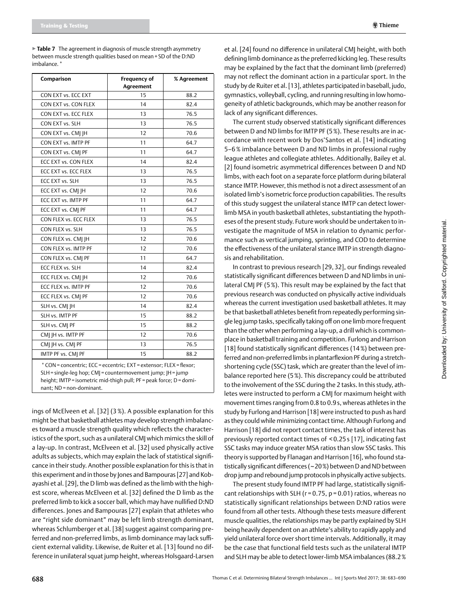▶**Table 7** The agreement in diagnosis of muscle strength asymmetry between muscle strength qualities based on mean+SD of the D:ND imbalance.<sup>\*</sup>

| Comparison                                                                                                                         | <b>Frequency of</b><br>Agreement | % Agreement |  |  |  |
|------------------------------------------------------------------------------------------------------------------------------------|----------------------------------|-------------|--|--|--|
| CON EXT vs. ECC EXT                                                                                                                | 15                               | 88.2        |  |  |  |
| CON EXT vs. CON FLEX                                                                                                               | 14                               | 82.4        |  |  |  |
| CON EXT vs. ECC FLEX                                                                                                               | 13                               | 76.5        |  |  |  |
| CON EXT vs. SLH                                                                                                                    | 13                               | 76.5        |  |  |  |
| CON EXT vs. CMJ JH                                                                                                                 | 12                               | 70.6        |  |  |  |
| CON EXT vs. IMTP PF                                                                                                                | 11                               | 64.7        |  |  |  |
| CON EXT vs. CMI PF                                                                                                                 | 11                               | 64.7        |  |  |  |
| ECC EXT vs. CON FLEX                                                                                                               | 14                               | 82.4        |  |  |  |
| ECC EXT vs. ECC FLEX                                                                                                               | 13                               | 76.5        |  |  |  |
| ECC EXT vs. SLH                                                                                                                    | 13                               | 76.5        |  |  |  |
| ECC EXT vs. CMJ JH                                                                                                                 | 12                               | 70.6        |  |  |  |
| ECC EXT vs. IMTP PF                                                                                                                | 11                               | 64.7        |  |  |  |
| ECC EXT vs. CMJ PF                                                                                                                 | 11                               | 64.7        |  |  |  |
| CON FLEX vs. ECC FLEX                                                                                                              | 13                               | 76.5        |  |  |  |
| CON FLEX vs. SLH                                                                                                                   | 13                               | 76.5        |  |  |  |
| CON FLEX vs. CM   H                                                                                                                | 12                               | 70.6        |  |  |  |
| CON FLEX vs. IMTP PF                                                                                                               | 12                               | 70.6        |  |  |  |
| CON FLEX vs. CMJ PF                                                                                                                | 11                               | 64.7        |  |  |  |
| ECC FLEX vs. SLH                                                                                                                   | 14                               | 82.4        |  |  |  |
| ECC FLEX vs. CMJ JH                                                                                                                | 12                               | 70.6        |  |  |  |
| ECC FLEX vs. IMTP PF                                                                                                               | 12                               | 70.6        |  |  |  |
| ECC FLEX vs. CMJ PF                                                                                                                | 12                               | 70.6        |  |  |  |
| SLH vs. CMJ JH                                                                                                                     | 14                               | 82.4        |  |  |  |
| SLH vs. IMTP PF                                                                                                                    | 15                               | 88.2        |  |  |  |
| SLH vs. CMJ PF                                                                                                                     | 15                               | 88.2        |  |  |  |
| CMJ JH vs. IMTP PF                                                                                                                 | 12                               | 70.6        |  |  |  |
| CMI IH vs. CMI PF                                                                                                                  | 13                               | 76.5        |  |  |  |
| IMTP PF vs. CMJ PF                                                                                                                 | 15                               | 88.2        |  |  |  |
| * CON = concentric; ECC = eccentric; EXT = extensor; FLEX = flexor;<br>SLH = single-leg hop; CMJ = countermovement jump; JH = jump |                                  |             |  |  |  |

height; IMTP = isometric mid-thigh pull; PF = peak force; D = dominant; ND= non-dominant.

ings of McElveen et al. [32] (3 %). A possible explanation for this might be that basketball athletes may develop strength imbalances toward a muscle strength quality which reflects the characteristics of the sport, such as a unilateral CMJ which mimics the skill of a lay-up. In contrast, McElveen et al. [32] used physically active adults as subjects, which may explain the lack of statistical significance in their study. Another possible explanation for this is that in this experiment and in those by Jones and Bampouras [27] and Kobayashi et al. [29], the D limb was defined as the limb with the highest score, whereas McElveen et al. [32] defined the D limb as the preferred limb to kick a soccer ball, which may have nullified D:ND differences. Jones and Bampouras [27] explain that athletes who are "right side dominant" may be left limb strength dominant, whereas Schlumberger et al. [38] suggest against comparing preferred and non-preferred limbs, as limb dominance may lack sufficient external validity. Likewise, de Ruiter et al. [13] found no difference in unilateral squat jump height, whereas Holsgaard-Larsen et al. [24] found no difference in unilateral CMJ height, with both defining limb dominance as the preferred kicking leg. These results may be explained by the fact that the dominant limb (preferred) may not reflect the dominant action in a particular sport. In the study by de Ruiter et al. [13], athletes participated in baseball, judo, gymnastics, volleyball, cycling, and running resulting in low homogeneity of athletic backgrounds, which may be another reason for lack of any significant differences.

The current study observed statistically significant differences between D and ND limbs for IMTP PF (5%). These results are in accordance with recent work by Dos'Santos et al. [14] indicating 5–6 % imbalance between D and ND limbs in professional rugby league athletes and collegiate athletes. Additionally, Bailey et al. [2] found isometric asymmetrical differences between D and ND limbs, with each foot on a separate force platform during bilateral stance IMTP. However, this method is not a direct assessment of an isolated limb's isometric force production capabilities. The results of this study suggest the unilateral stance IMTP can detect lowerlimb MSA in youth basketball athletes, substantiating the hypotheses of the present study. Future work should be undertaken to investigate the magnitude of MSA in relation to dynamic performance such as vertical jumping, sprinting, and COD to determine the effectiveness of the unilateral stance IMTP in strength diagnosis and rehabilitation.

In contrast to previous research [29, 32], our findings revealed statistically significant differences between D and ND limbs in unilateral CMJ PF (5%). This result may be explained by the fact that previous research was conducted on physically active individuals whereas the current investigation used basketball athletes. It may be that basketball athletes benefit from repeatedly performing single leg jump tasks, specifically taking off on one limb more frequent than the other when performing a lay-up, a drill which is commonplace in basketball training and competition. Furlong and Harrison [18] found statistically significant differences (14%) between preferred and non-preferred limbs in plantarflexion PF during a stretchshortening cycle (SSC) task, which are greater than the level of imbalance reported here (5%). This discrepancy could be attributed to the involvement of the SSC during the 2 tasks. In this study, athletes were instructed to perform a CMJ for maximum height with movement times ranging from 0.8 to 0.9s, whereas athletes in the study by Furlong and Harrison [18] were instructed to push as hard as they could while minimizing contact time. Although Furlong and Harrison [18] did not report contact times, the task of interest has previously reported contact times of < 0.25 s [17], indicating fast SSC tasks may induce greater MSA ratios than slow SSC tasks. This theory is supported by Flanagan and Harrison [16], who found statistically significant differences (~20%) between D and ND between drop jump and rebound jump protocols in physically active subjects.

The present study found IMTP PF had large, statistically significant relationships with SLH ( $r = 0.75$ ,  $p = 0.01$ ) ratios, whereas no statistically significant relationships between D:ND ratios were found from all other tests. Although these tests measure different muscle qualities, the relationships may be partly explained by SLH being heavily dependent on an athlete's ability to rapidly apply and yield unilateral force over short time intervals. Additionally, it may be the case that functional field tests such as the unilateral IMTP and SLH may be able to detect lower-limb MSA imbalances (88.2%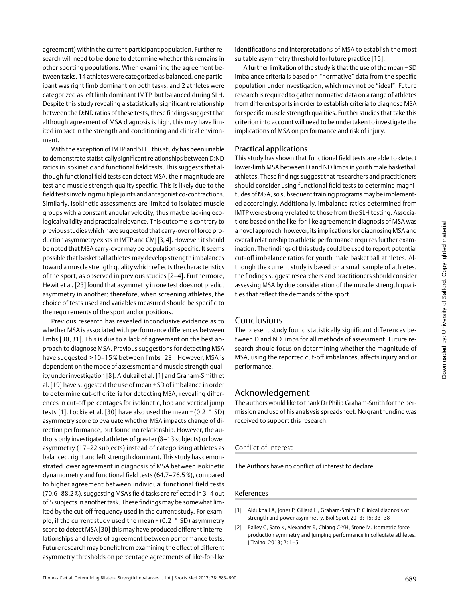agreement) within the current participant population. Further research will need to be done to determine whether this remains in other sporting populations. When examining the agreement between tasks, 14 athletes were categorized as balanced, one participant was right limb dominant on both tasks, and 2 athletes were categorized as left limb dominant IMTP, but balanced during SLH. Despite this study revealing a statistically significant relationship between the D:ND ratios of these tests, these findings suggest that although agreement of MSA diagnosis is high, this may have limited impact in the strength and conditioning and clinical environment.

With the exception of IMTP and SLH, this study has been unable to demonstrate statistically significant relationships between D:ND ratios in isokinetic and functional field tests. This suggests that although functional field tests can detect MSA, their magnitude are test and muscle strength quality specific. This is likely due to the field tests involving multiple joints and antagonist co-contractions. Similarly, isokinetic assessments are limited to isolated muscle groups with a constant angular velocity, thus maybe lacking ecological validity and practical relevance. This outcome is contrary to previous studies which have suggested that carry-over of force production asymmetry exists in IMTP and CMJ [3,4]. However, it should be noted that MSA carry-over may be population-specific. It seems possible that basketball athletes may develop strength imbalances toward a muscle strength quality which reflects the characteristics of the sport, as observed in previous studies [2–4]. Furthermore, Hewit et al. [23] found that asymmetry in one test does not predict asymmetry in another; therefore, when screening athletes, the choice of tests used and variables measured should be specific to the requirements of the sport and or positions.

Previous research has revealed inconclusive evidence as to whether MSA is associated with performance differences between limbs [30, 31]. This is due to a lack of agreement on the best approach to diagnose MSA. Previous suggestions for detecting MSA have suggested > 10–15% between limbs [28]. However, MSA is dependent on the mode of assessment and muscle strength quality under investigation [8]. Aldukail et al. [1] and Graham-Smith et al. [19] have suggested the use of mean + SD of imbalance in order to determine cut-off criteria for detecting MSA, revealing differences in cut-off percentages for isokinetic, hop and vertical jump tests [1]. Lockie et al. [30] have also used the mean + (0.2 \* SD) asymmetry score to evaluate whether MSA impacts change of direction performance, but found no relationship. However, the authors only investigated athletes of greater (8–13 subjects) or lower asymmetry (17–22 subjects) instead of categorizing athletes as balanced, right and left strength dominant. This study has demonstrated lower agreement in diagnosis of MSA between isokinetic dynamometry and functional field tests (64.7–76.5%), compared to higher agreement between individual functional field tests (70.6–88.2%), suggesting MSA's field tasks are reflected in 3–4 out of 5 subjects in another task. These findings may be somewhat limited by the cut-off frequency used in the current study. For example, if the current study used the mean + (0.2 \* SD) asymmetry score to detect MSA [30] this may have produced different interrelationships and levels of agreement between performance tests. Future research may benefit from examining the effect of different asymmetry thresholds on percentage agreements of like-for-like

identifications and interpretations of MSA to establish the most suitable asymmetry threshold for future practice [15].

A further limitation of the study is that the use of the mean+SD imbalance criteria is based on "normative" data from the specific population under investigation, which may not be "ideal". Future research is required to gather normative data on a range of athletes from different sports in order to establish criteria to diagnose MSA for specific muscle strength qualities. Further studies that take this criterion into account will need to be undertaken to investigate the implications of MSA on performance and risk of injury.

#### Practical applications

This study has shown that functional field tests are able to detect lower-limb MSA between D and ND limbs in youth male basketball athletes. These findings suggest that researchers and practitioners should consider using functional field tests to determine magnitudes of MSA, so subsequent training programs may be implemented accordingly. Additionally, imbalance ratios determined from IMTP were strongly related to those from the SLH testing. Associations based on the like-for-like agreement in diagnosis of MSA was a novel approach; however, its implications for diagnosing MSA and overall relationship to athletic performance requires further examination. The findings of this study could be used to report potential cut-off imbalance ratios for youth male basketball athletes. Although the current study is based on a small sample of athletes, the findings suggest researchers and practitioners should consider assessing MSA by due consideration of the muscle strength qualities that reflect the demands of the sport.

## Conclusions

The present study found statistically significant differences between D and ND limbs for all methods of assessment. Future research should focus on determining whether the magnitude of MSA, using the reported cut-off imbalances, affects injury and or performance.

# Acknowledgement

The authors would like to thank Dr Philip Graham-Smith for the permission and use of his analsysis spreadsheet. No grant funding was received to support this research.

## Conflict of Interest

The Authors have no conflict of interest to declare.

#### References

- [1] Aldukhail A, Jones P, Gillard H, Graham-Smith P. Clinical diagnosis of strength and power asymmetry. Biol Sport 2013; 15: 33–38
- [2] Bailey C, Sato K, Alexander R, Chiang C-YH, Stone M. Isometric force production symmetry and jumping performance in collegiate athletes. J Trainol 2013; 2: 1–5